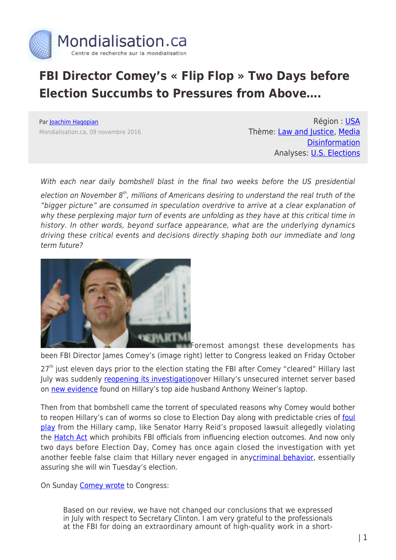

## **FBI Director Comey's « Flip Flop » Two Days before Election Succumbs to Pressures from Above….**

Par [Joachim Hagopian](https://www.mondialisation.ca/author/hagopian) Mondialisation.ca, 09 novembre 2016

Région : [USA](https://www.mondialisation.ca/region/usa) Thème: [Law and Justice](https://www.mondialisation.ca/theme/law-and-justice), [Media](https://www.mondialisation.ca/theme/media-disinformation) **[Disinformation](https://www.mondialisation.ca/theme/media-disinformation)** Analyses: [U.S. Elections](https://www.mondialisation.ca/indepthreport/u-s-elections)

With each near daily bombshell blast in the final two weeks before the US presidential

election on November  $8<sup>th</sup>$ , millions of Americans desiring to understand the real truth of the "bigger picture" are consumed in speculation overdrive to arrive at a clear explanation of why these perplexing major turn of events are unfolding as they have at this critical time in history. In other words, beyond surface appearance, what are the underlying dynamics driving these critical events and decisions directly shaping both our immediate and long term future?



Foremost amongst these developments has

been FBI Director James Comey's (image right) letter to Congress leaked on Friday October

 $27<sup>th</sup>$  just eleven days prior to the election stating the FBI after Comey "cleared" Hillary last July was suddenly [reopening its investigation](http://www.globalresearch.ca/the-real-reasons-why-fbi-director-james-comey-reopened-the-hillary-investigation/5553979)over Hillary's unsecured internet server based on [new evidence](https://www.lewrockwell.com/2016/11/joachim-hagopian/clinton-crime-cartel/) found on Hillary's top aide husband Anthony Weiner's laptop.

Then from that bombshell came the torrent of speculated reasons why Comey would bother to reopen Hillary's can of worms so close to Election Day along with predictable cries of [foul](http://www.telegraph.co.uk/news/2016/10/28/fbi-probe-newly-discovered-hillary-clinton-emails-and-reopen-inv/) [play](http://www.telegraph.co.uk/news/2016/10/28/fbi-probe-newly-discovered-hillary-clinton-emails-and-reopen-inv/) from the Hillary camp, like Senator Harry Reid's proposed lawsuit allegedly violating the **Hatch Act** which prohibits FBI officials from influencing election outcomes. And now only two days before Election Day, Comey has once again closed the investigation with yet another feeble false claim that Hillary never engaged in any[criminal behavior](http://www.globalresearch.ca/fbi-director-james-comey-no-evidence-of-hillary-wrong-doing-but-who-conducted-the-investigation-fbi-deputy-director-andrew-mccabe-bribed-whose-wife-received-467000/5555398), essentially assuring she will win Tuesday's election.

On Sunday [Comey wrote](http://www.wnd.com/2016/11/comey-blinks-hillary-case-closed/) to Congress:

Based on our review, we have not changed our conclusions that we expressed in July with respect to Secretary Clinton. I am very grateful to the professionals at the FBI for doing an extraordinary amount of high-quality work in a short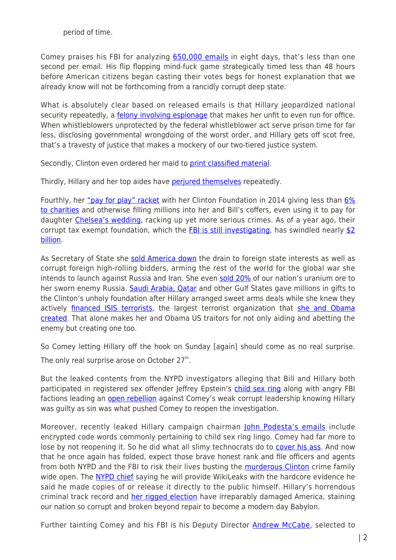period of time.

Comey praises his FBI for analyzing [650,000 emails](http://lawnewz.com/high-profile/we-asked-experts-if-fbi-could-do-meaningful-review-of-clinton-emails-in-one-week/) in eight days, that's less than one second per email. His flip flopping mind-fuck game strategically timed less than 48 hours before American citizens began casting their votes begs for honest explanation that we already know will not be forthcoming from a rancidly corrupt deep state.

What is absolutely clear based on released emails is that Hillary jeopardized national security repeatedly, a [felony involving espionage](http://www.truthdig.com/report/item/all_whistleblowers_should_get_pass_if_hillary_clinton_does_20160606) that makes her unfit to even run for office. When whistleblowers unprotected by the federal whistleblower act serve prison time for far less, disclosing governmental wrongdoing of the worst order, and Hillary gets off scot free, that's a travesty of justice that makes a mockery of our two-tiered justice system.

Secondly, Clinton even ordered her maid to [print classified material](http://nypost.com/2016/11/06/clinton-directed-her-maid-to-print-out-classified-materials/).

Thirdly, Hillary and her top aides have **perjured themselves** repeatedly.

Fourthly, her ["pay for play" racket](http://www.zerohedge.com/news/2016-09-15/clinton-foundation-ceo-admits-pay-play-no-question-courtesy-appointments-were-made) with her Clinton Foundation in 2014 giving less than [6%](http://thefederalist.com/2016/09/16/clinton-foundation-spent-6-percent-charitable-grants-2014/) [to charities](http://thefederalist.com/2016/09/16/clinton-foundation-spent-6-percent-charitable-grants-2014/) and otherwise filling millions into her and Bill's coffers, even using it to pay for daughter [Chelsea's wedding,](http://www.zerohedge.com/news/2016-11-06/doug-band-accuses-chelsea-using-clinton-foundation-money-pay-her-wedding) racking up yet more serious crimes. As of a year ago, their corrupt tax exempt foundation, which the **FBI is still investigating**, has swindled nearly  $$2$ [billion.](https://www.washingtonpost.com/politics/clintons-raised-nearly-2-billion-for-foundation-since-2001/2015/02/18/b8425d88-a7cd-11e4-a7c2-03d37af98440_story.html)

As Secretary of State she [sold America down](https://www.intellihub.com/clinton-foundation-payoffs-promised-hammond-ranch-other-publically-owned-lands-russia/) the drain to foreign state interests as well as corrupt foreign high-rolling bidders, arming the rest of the world for the global war she intends to launch against Russia and Iran. She even [sold 20%](http://www.nytimes.com/2015/04/24/us/cash-flowed-to-clinton-foundation-as-russians-pressed-for-control-of-uranium-company.html?_r=0) of our nation's uranium ore to her sworn enemy Russia. [Saudi Arabia, Qatar](https://theintercept.com/2016/08/25/why-did-the-saudi-regime-and-other-gulf-tyrannies-donate-millions-to-the-clinton-foundation/) and other Gulf States gave millions in gifts to the Clinton's unholy foundation after Hillary arranged sweet arms deals while she knew they actively [financed ISIS terrorists,](http://21stcenturywire.com/2016/11/04/wikileaks-hillary-clinton-knew-saudi-qatar-were-funding-isis-but-still-took-their-money-for-foundation/) the largest terrorist organization that [she and Obama](http://www.breitbart.com/national-security/2016/08/12/fact-check-obama-hillary-founders-isis-bet/) [created.](http://www.breitbart.com/national-security/2016/08/12/fact-check-obama-hillary-founders-isis-bet/) That alone makes her and Obama US traitors for not only aiding and abetting the enemy but creating one too.

So Comey letting Hillary off the hook on Sunday [again] should come as no real surprise. The only real surprise arose on October 27<sup>th</sup>.

But the leaked contents from the NYPD investigators alleging that Bill and Hillary both participated in registered sex offender Jeffrey Epstein's [child sex ring](http://truepundit.com/breaking-bombshell-nypd-blows-whistle-on-new-hillary-emails-money-laundering-sex-crimes-with-children-child-exploitation-pay-to-play-perjury/) along with angry FBI factions leading an **open rebellion** against Comey's weak corrupt leadership knowing Hillary was guilty as sin was what pushed Comey to reopen the investigation.

Moreover, recently leaked Hillary campaign chairman [John Podesta's emails](http://www.abeldanger.net/2016/11/podestas-pizza-and-pedophiles-baphomet.html#more) include encrypted code words commonly pertaining to child sex ring lingo. Comey had far more to lose by not reopening it. So he did what all slimy technocrats do to [cover his ass](http://www.globalresearch.ca/the-real-reasons-why-fbi-director-james-comey-reopened-the-hillary-investigation/5553979). And now that he once again has folded, expect those brave honest rank and file officers and agents from both NYPD and the FBI to risk their lives busting the [murderous Clinton](http://www.whatreallyhappened.com/RANCHO/POLITICS/BODIES.php#axzz4PRWk0tvX) crime family wide open. The [NYPD chief](http://www.inquisitr.com/3672706/hillary-clinton-email-investigation-nypd-source-says-clintons-involved-in-sex-slavery-child-sex-crimes-child-exploitation-and-more/) saying he will provide WikiLeaks with the hardcore evidence he said he made copies of or release it directly to the public himself. Hillary's horrendous criminal track record and [her rigged election](https://www.youtube.com/watch?v=EEQvsK5w-jY) have irreparably damaged America, staining our nation so corrupt and broken beyond repair to become a modern day Babylon.

Further tainting Comey and his FBI is his Deputy Director **[Andrew McCabe](http://www.zerohedge.com/news/2016-10-24/prominent-democrat-connected-clintons-donated-675000-campaign-deputy-fbi-directors-w)**, selected to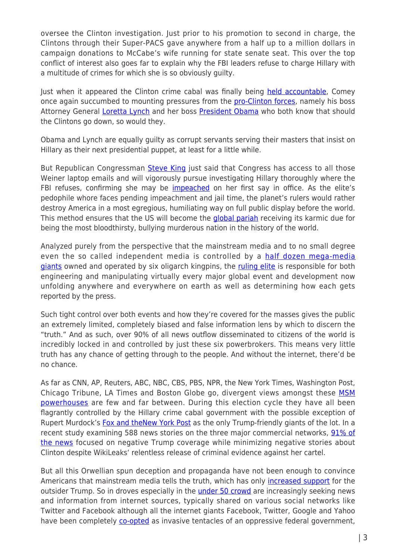oversee the Clinton investigation. Just prior to his promotion to second in charge, the Clintons through their Super-PACS gave anywhere from a half up to a million dollars in campaign donations to McCabe's wife running for state senate seat. This over the top conflict of interest also goes far to explain why the FBI leaders refuse to charge Hillary with a multitude of crimes for which she is so obviously guilty.

Just when it appeared the Clinton crime cabal was finally being [held accountable,](https://www.sott.net/article/333069-Breaking-sex-scandal-from-Weiners-laptop-may-be-the-smoking-gun-that-will-bring-down-the-Clintons-for-good) Comey once again succumbed to mounting pressures from the [pro-Clinton forces](http://townhall.com/tipsheet/guybenson/2016/11/07/analysis-comeys-biggest-mistake-came-in-july-n2242262), namely his boss Attorney General [Loretta Lynch](http://daisyluther.com/if-clinton-goes-down-loretta-lynch-will-go-down-with-her/) and her boss [President Obama](http://www.zerohedge.com/news/2016-10-31/will-barack-obama-suspend-election-if-hillary-forced-out-new-fbi-email-investigation) who both know that should the Clintons go down, so would they.

Obama and Lynch are equally guilty as corrupt servants serving their masters that insist on Hillary as their next presidential puppet, at least for a little while.

But Republican Congressman [Steve King](http://www.dailymail.co.uk/news/article-3910766/We-ve-got-hands-Congressman-says-Republican-lawmakers-set-Anthony-Weiner-s-650-000-emails.html) just said that Congress has access to all those Weiner laptop emails and will vigorously pursue investigating Hillary thoroughly where the FBI refuses, confirming she may be [impeached](http://www.salon.com/2016/10/26/judicial-watch-threatens-it-will-impeach-hillary-clinton-if-shes-elected-president/) on her first say in office. As the elite's pedophile whore faces pending impeachment and jail time, the planet's rulers would rather destroy America in a most egregious, humiliating way on full public display before the world. This method ensures that the US will become the [global pariah](http://www.veteranstoday.com/2015/09/25/is-america-now-destined-to-become-the-worlds-pariah-along-with-its-master-israel/) receiving its karmic due for being the most bloodthirsty, bullying murderous nation in the history of the world.

Analyzed purely from the perspective that the mainstream media and to no small degree even the so called independent media is controlled by a [half dozen mega-media](http://www.storyleak.com/graphic-6-corporations-own-90-percent-of-media/) [giants](http://www.storyleak.com/graphic-6-corporations-own-90-percent-of-media/) owned and operated by six oligarch kingpins, the [ruling elite](http://www.globalresearch.ca/one-world-governance-and-the-council-on-foreign-relations-we-shall-have-world-government-by-conquest-or-consent/5541363) is responsible for both engineering and manipulating virtually every major global event and development now unfolding anywhere and everywhere on earth as well as determining how each gets reported by the press.

Such tight control over both events and how they're covered for the masses gives the public an extremely limited, completely biased and false information lens by which to discern the "truth." And as such, over 90% of all news outflow disseminated to citizens of the world is incredibly locked in and controlled by just these six powerbrokers. This means very little truth has any chance of getting through to the people. And without the internet, there'd be no chance.

As far as CNN, AP, Reuters, ABC, NBC, CBS, PBS, NPR, the New York Times, Washington Post, Chicago Tribune, LA Times and Boston Globe go, divergent views amongst these [MSM](http://www.foxnews.com/politics/2016/10/12/bias-alert-wikileaks-exposes-medias-secret-support-clinton.html) [powerhouses](http://www.foxnews.com/politics/2016/10/12/bias-alert-wikileaks-exposes-medias-secret-support-clinton.html) are few and far between. During this election cycle they have all been flagrantly controlled by the Hillary crime cabal government with the possible exception of Rupert Murdock's [Fox and theNew York Post](http://nymag.com/daily/intelligencer/2016/05/why-rupert-murdoch-decided-to-support-trump.html) as the only Trump-friendly giants of the lot. In a recent study examining 588 news stories on the three major commercial networks, [91% of](http://www.politico.com/blogs/on-media/2016/10/study-91-percent-of-trump-coverage-on-broadcast-news-was-negative-230297) [the news](http://www.politico.com/blogs/on-media/2016/10/study-91-percent-of-trump-coverage-on-broadcast-news-was-negative-230297) focused on negative Trump coverage while minimizing negative stories about Clinton despite WikiLeaks' relentless release of criminal evidence against her cartel.

But all this Orwellian spun deception and propaganda have not been enough to convince Americans that mainstream media tells the truth, which has only [increased support](http://www.activistpost.com/2016/03/medias-global-anti-trump-coverage-proves-the-matrix-is-real.html) for the outsider Trump. So in droves especially in the **under 50 crowd** are increasingly seeking news and information from internet sources, typically shared on various social networks like Twitter and Facebook although all the internet giants Facebook, Twitter, Google and Yahoo have been completely *co-opted* as invasive tentacles of an oppressive federal government,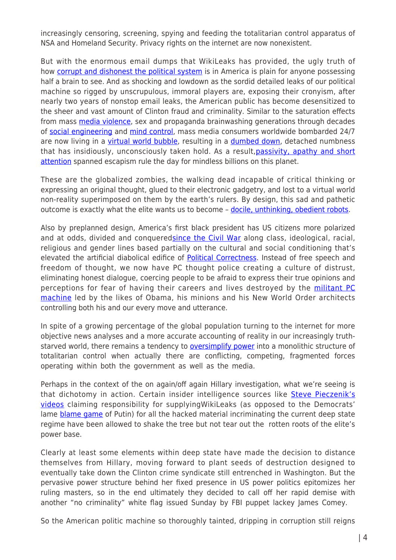increasingly censoring, screening, spying and feeding the totalitarian control apparatus of NSA and Homeland Security. Privacy rights on the internet are now nonexistent.

But with the enormous email dumps that WikiLeaks has provided, the ugly truth of how [corrupt and dishonest the political system](http://themillenniumreport.com/2016/10/the-top-100-most-damaging-wikileaks/) is in America is plain for anyone possessing half a brain to see. And as shocking and lowdown as the sordid detailed leaks of our political machine so rigged by unscrupulous, immoral players are, exposing their cronyism, after nearly two years of nonstop email leaks, the American public has become desensitized to the sheer and vast amount of Clinton fraud and criminality. Similar to the saturation effects from mass [media violence,](http://www.psychiatrictimes.com/child-adolescent-psychiatry/violence-media-what-effects-behavior) sex and propaganda brainwashing generations through decades of [social engineering](http://www.wakingtimes.com/2016/04/19/weapons-mass-distraction/) and [mind control](http://vigilantcitizen.com/vigilantreport/mind-control-theories-and-techniques-used-by-mass-media/), mass media consumers worldwide bombarded 24/7 are now living in a [virtual world bubble](http://elevr.com/are-we-living-in-a-virtual-reality/), resulting in a [dumbed down](http://www.globalresearch.ca/the-dumbing-down-of-america-by-design/5395928), detached numbness that has insidiously, unconsciously taken hold. As a result, [passivity, apathy and short](http://faculty.frostburg.edu/phil/forum/PhilFilm5.htm) [attention](http://faculty.frostburg.edu/phil/forum/PhilFilm5.htm) spanned escapism rule the day for mindless billions on this planet.

These are the globalized zombies, the walking dead incapable of critical thinking or expressing an original thought, glued to their electronic gadgetry, and lost to a virtual world non-reality superimposed on them by the earth's rulers. By design, this sad and pathetic outcome is exactly what the elite wants us to become - [docile, unthinking, obedient robots.](https://www.lewrockwell.com/2016/10/joachim-hagopian/power-elites-war/)

Also by preplanned design, America's first black president has US citizens more polarized and at odds, divided and conquered[since the Civil War](http://freebeacon.com/politics/obama-country-divided-not-civil-war/) along class, ideological, racial, religious and gender lines based partially on the cultural and social conditioning that's elevated the artificial diabolical edifice of [Political Correctness.](http://thefreethoughtproject.com/free-speech-political-correctness/) Instead of free speech and freedom of thought, we now have PC thought police creating a culture of distrust, eliminating honest dialogue, coercing people to be afraid to express their true opinions and perceptions for fear of having their careers and lives destroyed by the [militant PC](http://www.nytimes.com/2015/12/23/opinion/trump-obama-and-the-assault-on-political-correctness.html) [machine](http://www.nytimes.com/2015/12/23/opinion/trump-obama-and-the-assault-on-political-correctness.html) led by the likes of Obama, his minions and his New World Order architects controlling both his and our every move and utterance.

In spite of a growing percentage of the global population turning to the internet for more objective news analyses and a more accurate accounting of reality in our increasingly truthstarved world, there remains a tendency to [oversimplify power](http://www.globalresearch.ca/u-s-elections-november-chaos-what-youre-not-being-told/5554954) into a monolithic structure of totalitarian control when actually there are conflicting, competing, fragmented forces operating within both the government as well as the media.

Perhaps in the context of the on again/off again Hillary investigation, what we're seeing is that dichotomy in action. Certain insider intelligence sources like [Steve Pieczenik's](http://yournewswire.com/fbi-emails-wikileaks-clinton-coup/) [videos](http://yournewswire.com/fbi-emails-wikileaks-clinton-coup/) claiming responsibility for supplyingWikiLeaks (as opposed to the Democrats' lame **blame game** of Putin) for all the hacked material incriminating the current deep state regime have been allowed to shake the tree but not tear out the rotten roots of the elite's power base.

Clearly at least some elements within deep state have made the decision to distance themselves from Hillary, moving forward to plant seeds of destruction designed to eventually take down the Clinton crime syndicate still entrenched in Washington. But the pervasive power structure behind her fixed presence in US power politics epitomizes her ruling masters, so in the end ultimately they decided to call off her rapid demise with another "no criminality" white flag issued Sunday by FBI puppet lackey James Comey.

So the American politic machine so thoroughly tainted, dripping in corruption still reigns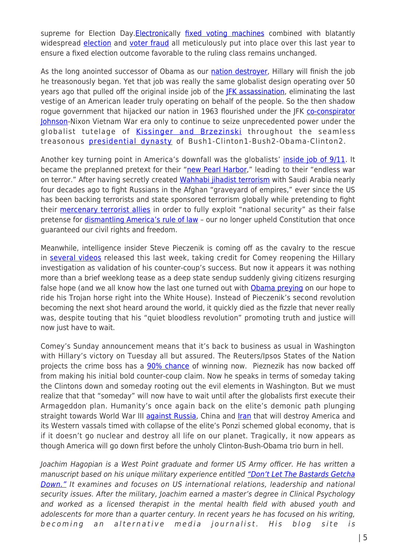supreme for Election Day. [Electronica](http://blackboxvoting.org/)lly [fixed voting machines](http://www.zerohedge.com/news/2016-10-25/texas-rigged-first-reports-voting-machines-switching-votes-hillary-texas) combined with blatantly widespread [election](http://alexanderhiggins.com/stanford-berkley-study-1-77-billion-chance-hillary-won-primary-without-widespread-election-fraud/) and [voter fraud](http://thefreethoughtproject.com/widespread-voter-fraud-election/) all meticulously put into place over this last year to ensure a fixed election outcome favorable to the ruling class remains unchanged.

As the long anointed successor of Obama as our [nation destroyer](http://www.newsmax.com/Limbaugh/Obama-Great-Destroyer-War/2012/06/05/id/441236/), Hillary will finish the job he treasonously began. Yet that job was really the same globalist design operating over 50 years ago that pulled off the original inside job of the [JFK assassination,](http://www.alternet.org/investigations/jfk-assassination-cia-and-new-york-times-are-still-lying-us) eliminating the last vestige of an American leader truly operating on behalf of the people. So the then shadow rogue government that hijacked our nation in 1963 flourished under the JFK [co-conspirator](http://www.dailymail.co.uk/news/article-2322981/Former-Nixon-aide-claims-evidence-Lyndon-B-Johnson-arranged-John-F-Kennedys-assassination-new-book.html) [Johnson](http://www.dailymail.co.uk/news/article-2322981/Former-Nixon-aide-claims-evidence-Lyndon-B-Johnson-arranged-John-F-Kennedys-assassination-new-book.html)-Nixon Vietnam War era only to continue to seize unprecedented power under the globalist tutelage of [Kissinger and Brzezinski](https://www.rt.com/usa/332320-kissinger-albright-brzezinski-ghosts/) throughout the seamless treasonous **presidential dynasty** of Bush1-Clinton1-Bush2-Obama-Clinton2.

Another key turning point in America's downfall was the globalists' *[inside job of 9/11](https://consortiumnews.com/2012/09/11/the-neocons-and-911/)*. It became the preplanned pretext for their ["new Pearl Harbor](https://www.lewrockwell.com/2015/12/joachim-hagopian/new-world-disorder-2/)," leading to their "endless war on terror." After having secretly created [Wahhabi jihadist terrorism](http://www.huffingtonpost.com/dr-yousaf-butt-/saudi-wahhabism-islam-terrorism_b_6501916.html) with Saudi Arabia nearly four decades ago to fight Russians in the Afghan "graveyard of empires," ever since the US has been backing terrorists and state sponsored terrorism globally while pretending to fight their [mercenary terrorist allies](http://www.globalresearch.ca/9-11-analysis-from-ronald-reagan-and-the-soviet-afghan-war-to-george-w-bush-and-september-11-2001/20958) in order to fully exploit "national security" as their false pretense for *dismantling America's rule of law* - our no longer upheld Constitution that once guaranteed our civil rights and freedom.

Meanwhile, intelligence insider Steve Pieczenik is coming off as the cavalry to the rescue in [several videos](https://www.youtube.com/watch?v=CJ_CYS-KMjM) released this last week, taking credit for Comey reopening the Hillary investigation as validation of his counter-coup's success. But now it appears it was nothing more than a brief weeklong tease as a deep state sendup suddenly giving citizens resurging false hope (and we all know how the last one turned out with [Obama preying](http://www.e-ir.info/2014/12/12/barack-obama-how-an-unknown-senator-became-president-of-the-usa/) on our hope to ride his Trojan horse right into the White House). Instead of Pieczenik's second revolution becoming the next shot heard around the world, it quickly died as the fizzle that never really was, despite touting that his "quiet bloodless revolution" promoting truth and justice will now just have to wait.

Comey's Sunday announcement means that it's back to business as usual in Washington with Hillary's victory on Tuesday all but assured. The Reuters/Ipsos States of the Nation projects the crime boss has a [90% chance](http://www.reuters.com/article/us-usa-election-idUSKBN1310WY) of winning now. Pieznezik has now backed off from making his initial bold counter-coup claim. Now he speaks in terms of someday taking the Clintons down and someday rooting out the evil elements in Washington. But we must realize that that "someday" will now have to wait until after the globalists first execute their Armageddon plan. Humanity's once again back on the elite's demonic path plunging straight towards World War III [against Russia](http://www.washingtonsblog.com/2016/10/hillarys-wars-clinton-reset-button-with-russia-goes-nuclear-syria-about-iran-israel.html), China and [Iran](http://www.globalresearch.ca/hillary-clinton-if-im-president-we-will-attack-iran/5460484) that will destroy America and its Western vassals timed with collapse of the elite's Ponzi schemed global economy, that is if it doesn't go nuclear and destroy all life on our planet. Tragically, it now appears as though America will go down first before the unholy Clinton-Bush-Obama trio burn in hell.

Joachim Hagopian is a West Point graduate and former US Army officer. He has written a manuscript based on his unique military experience entitled ["Don't Let The Bastards Getcha](http://www.redredsea.net/westpointhagopian/index.html) [Down."](http://www.redredsea.net/westpointhagopian/index.html) It examines and focuses on US international relations, leadership and national security issues. After the military, Joachim earned a master's degree in Clinical Psychology and worked as a licensed therapist in the mental health field with abused youth and adolescents for more than a quarter century. In recent years he has focused on his writing, becoming an alternative media journalist. His blog site is